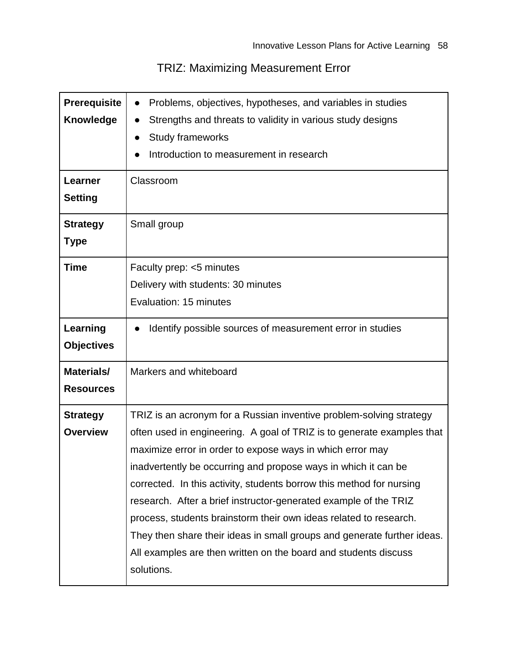## TRIZ: Maximizing Measurement Error

| <b>Prerequisite</b><br><b>Knowledge</b><br><b>Learner</b><br><b>Setting</b><br><b>Strategy</b> | Problems, objectives, hypotheses, and variables in studies<br>Strengths and threats to validity in various study designs<br><b>Study frameworks</b><br>Introduction to measurement in research<br>Classroom<br>Small group                                                                                                                                                                                                                                                                                                                                                                                                                                |
|------------------------------------------------------------------------------------------------|-----------------------------------------------------------------------------------------------------------------------------------------------------------------------------------------------------------------------------------------------------------------------------------------------------------------------------------------------------------------------------------------------------------------------------------------------------------------------------------------------------------------------------------------------------------------------------------------------------------------------------------------------------------|
| <b>Type</b>                                                                                    |                                                                                                                                                                                                                                                                                                                                                                                                                                                                                                                                                                                                                                                           |
| <b>Time</b>                                                                                    | Faculty prep: <5 minutes<br>Delivery with students: 30 minutes<br>Evaluation: 15 minutes                                                                                                                                                                                                                                                                                                                                                                                                                                                                                                                                                                  |
| Learning<br><b>Objectives</b>                                                                  | Identify possible sources of measurement error in studies                                                                                                                                                                                                                                                                                                                                                                                                                                                                                                                                                                                                 |
| <b>Materials/</b><br><b>Resources</b>                                                          | Markers and whiteboard                                                                                                                                                                                                                                                                                                                                                                                                                                                                                                                                                                                                                                    |
| <b>Strategy</b><br><b>Overview</b>                                                             | TRIZ is an acronym for a Russian inventive problem-solving strategy<br>often used in engineering. A goal of TRIZ is to generate examples that<br>maximize error in order to expose ways in which error may<br>inadvertently be occurring and propose ways in which it can be<br>corrected. In this activity, students borrow this method for nursing<br>research. After a brief instructor-generated example of the TRIZ<br>process, students brainstorm their own ideas related to research.<br>They then share their ideas in small groups and generate further ideas.<br>All examples are then written on the board and students discuss<br>solutions. |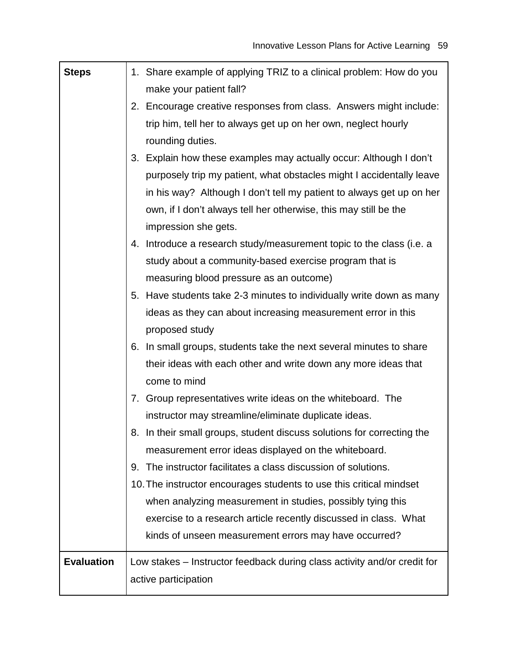| <b>Steps</b>      | 1. Share example of applying TRIZ to a clinical problem: How do you      |
|-------------------|--------------------------------------------------------------------------|
|                   | make your patient fall?                                                  |
|                   | 2. Encourage creative responses from class. Answers might include:       |
|                   | trip him, tell her to always get up on her own, neglect hourly           |
|                   | rounding duties.                                                         |
|                   | 3. Explain how these examples may actually occur: Although I don't       |
|                   | purposely trip my patient, what obstacles might I accidentally leave     |
|                   | in his way? Although I don't tell my patient to always get up on her     |
|                   | own, if I don't always tell her otherwise, this may still be the         |
|                   | impression she gets.                                                     |
|                   | 4. Introduce a research study/measurement topic to the class (i.e. a     |
|                   | study about a community-based exercise program that is                   |
|                   | measuring blood pressure as an outcome)                                  |
|                   | 5. Have students take 2-3 minutes to individually write down as many     |
|                   | ideas as they can about increasing measurement error in this             |
|                   | proposed study                                                           |
|                   | 6. In small groups, students take the next several minutes to share      |
|                   | their ideas with each other and write down any more ideas that           |
|                   | come to mind                                                             |
|                   | 7. Group representatives write ideas on the whiteboard. The              |
|                   | instructor may streamline/eliminate duplicate ideas.                     |
|                   | 8. In their small groups, student discuss solutions for correcting the   |
|                   | measurement error ideas displayed on the whiteboard.                     |
|                   | The instructor facilitates a class discussion of solutions.<br>9.        |
|                   | 10. The instructor encourages students to use this critical mindset      |
|                   | when analyzing measurement in studies, possibly tying this               |
|                   | exercise to a research article recently discussed in class. What         |
|                   | kinds of unseen measurement errors may have occurred?                    |
| <b>Evaluation</b> | Low stakes – Instructor feedback during class activity and/or credit for |
|                   | active participation                                                     |
|                   |                                                                          |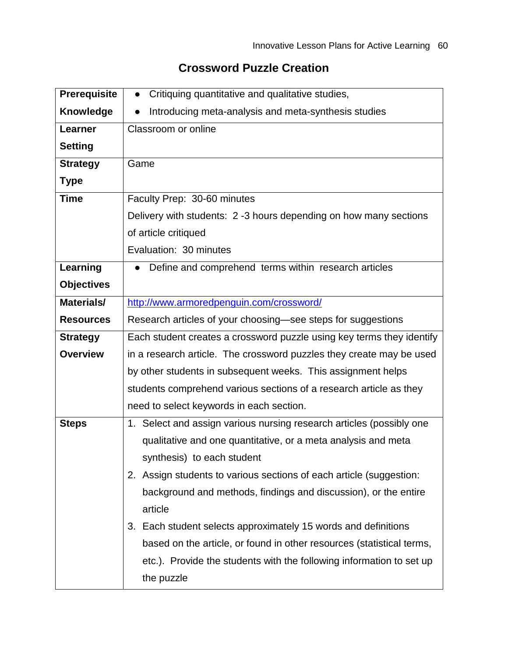## **Crossword Puzzle Creation**

| <b>Prerequisite</b> | Critiquing quantitative and qualitative studies,<br>$\bullet$          |
|---------------------|------------------------------------------------------------------------|
| Knowledge           | Introducing meta-analysis and meta-synthesis studies                   |
| Learner             | Classroom or online                                                    |
| <b>Setting</b>      |                                                                        |
| <b>Strategy</b>     | Game                                                                   |
| <b>Type</b>         |                                                                        |
| <b>Time</b>         | Faculty Prep: 30-60 minutes                                            |
|                     | Delivery with students: 2 -3 hours depending on how many sections      |
|                     | of article critiqued                                                   |
|                     | Evaluation: 30 minutes                                                 |
| Learning            | Define and comprehend terms within research articles                   |
| <b>Objectives</b>   |                                                                        |
| Materials/          | http://www.armoredpenguin.com/crossword/                               |
| <b>Resources</b>    | Research articles of your choosing-see steps for suggestions           |
| <b>Strategy</b>     | Each student creates a crossword puzzle using key terms they identify  |
| <b>Overview</b>     | in a research article. The crossword puzzles they create may be used   |
|                     | by other students in subsequent weeks. This assignment helps           |
|                     | students comprehend various sections of a research article as they     |
|                     | need to select keywords in each section.                               |
| <b>Steps</b>        | 1. Select and assign various nursing research articles (possibly one   |
|                     | qualitative and one quantitative, or a meta analysis and meta          |
|                     | synthesis) to each student                                             |
|                     | Assign students to various sections of each article (suggestion:<br>2. |
|                     | background and methods, findings and discussion), or the entire        |
|                     | article                                                                |
|                     | 3. Each student selects approximately 15 words and definitions         |
|                     | based on the article, or found in other resources (statistical terms,  |
|                     | etc.). Provide the students with the following information to set up   |
|                     | the puzzle                                                             |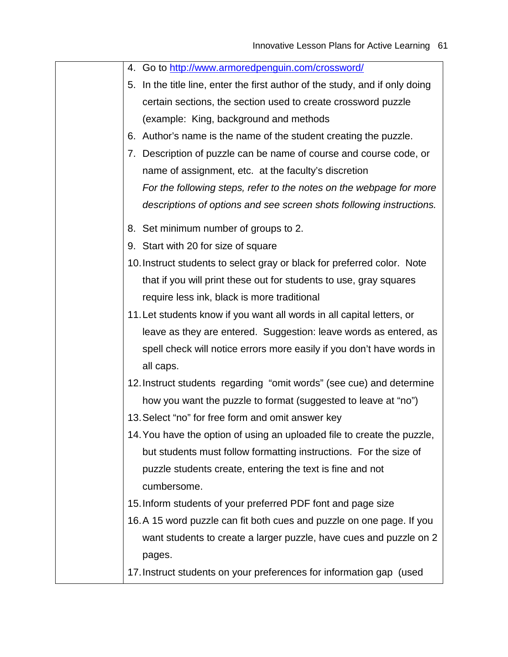| 4. Go to http://www.armoredpenguin.com/crossword/ |  |
|---------------------------------------------------|--|
|---------------------------------------------------|--|

- 5. In the title line, enter the first author of the study, and if only doing certain sections, the section used to create crossword puzzle (example: King, background and methods
- 6. Author's name is the name of the student creating the puzzle.
- 7. Description of puzzle can be name of course and course code, or name of assignment, etc. at the faculty's discretion *For the following steps, refer to the notes on the webpage for more descriptions of options and see screen shots following instructions.*
- 8. Set minimum number of groups to 2.
- 9. Start with 20 for size of square
- 10.Instruct students to select gray or black for preferred color. Note that if you will print these out for students to use, gray squares require less ink, black is more traditional
- 11.Let students know if you want all words in all capital letters, or leave as they are entered. Suggestion: leave words as entered, as spell check will notice errors more easily if you don't have words in all caps.
- 12.Instruct students regarding "omit words" (see cue) and determine how you want the puzzle to format (suggested to leave at "no")
- 13.Select "no" for free form and omit answer key
- 14.You have the option of using an uploaded file to create the puzzle, but students must follow formatting instructions. For the size of puzzle students create, entering the text is fine and not cumbersome.
- 15.Inform students of your preferred PDF font and page size
- 16.A 15 word puzzle can fit both cues and puzzle on one page. If you want students to create a larger puzzle, have cues and puzzle on 2 pages.
- 17.Instruct students on your preferences for information gap (used